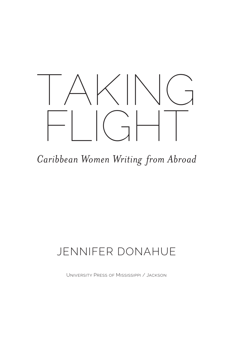

*Caribbean Women Writing from Abroad*

## JENNIFER DONAHUE

University Press of Mississippi / Jackson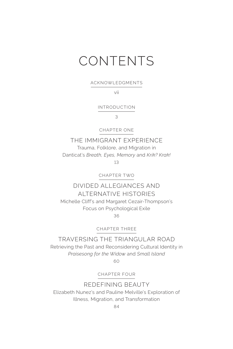# CONTENTS

ACKNOWLEDGMENTS

vii

INTRODUCTION

3

CHAPTER ONE

THE IMMIGRANT EXPERIENCE Trauma, Folklore, and Migration in Danticat's *Breath, Eyes, Memory* and *Krik? Krak!* 13

CHAPTER TWO

DIVIDED ALLEGIANCES AND ALTERNATIVE HISTORIES Michelle Cliff's and Margaret Cezair-Thompson's Focus on Psychological Exile 36

CHAPTER THREE

TRAVERSING THE TRIANGULAR ROAD Retrieving the Past and Reconsidering Cultural Identity in *Praisesong for the Widow* and *Small Island*

60

CHAPTER FOUR

REDEFINING BEAUTY

Elizabeth Nunez's and Pauline Melville's Exploration of Illness, Migration, and Transformation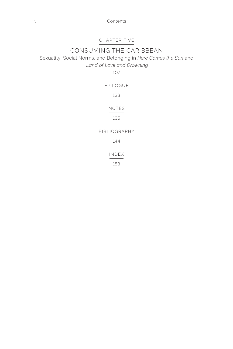vi Contents

#### CHAPTER FIVE

### CONSUMING THE CARIBBEAN Sexuality, Social Norms, and Belonging in *Here Comes the Sun* and  *Land of Love and Drowning*

107

| <b>FPILOGUE</b>      |
|----------------------|
| 133                  |
| NOTFS                |
| 135                  |
| <b>BIBI IOGRAPHY</b> |
| 144                  |
| INDFX                |

153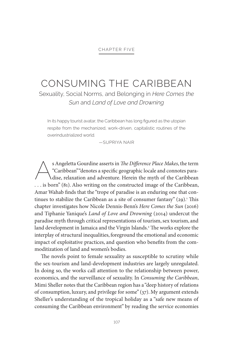#### CHAPTER FIVE

### CONSUMING THE CARIBBEAN

Sexuality, Social Norms, and Belonging in *Here Comes the Sun* and *Land of Love and Drowning*

In its happy tourist avatar, the Caribbean has long figured as the utopian respite from the mechanized, work-driven, capitalistic routines of the overindustrialized world.

—SUPRIYA NAIR

s Angeletta Gourdine asserts in *The Difference Place Makes*, the term<br>
"Caribbean" "denotes a specific geographic locale and connotes para-<br>
dise, relaxation and adventure. Herein the myth of the Caribbean<br>
is home" (0). "Caribbean" "denotes a specific geographic locale and connotes para-. . . is born" (81). Also writing on the constructed image of the Caribbean, Amar Wahab finds that the "trope of paradise is an enduring one that continues to stabilize the Caribbean as a site of consumer fantasy"  $(29)$ .<sup>1</sup> This chapter investigates how Nicole Dennis-Benn's *Here Comes the Sun* (2016) and Tiphanie Yanique's *Land of Love and Drowning* (2014) undercut the paradise myth through critical representations of tourism, sex tourism, and land development in Jamaica and the Virgin Islands.<sup>2</sup> The works explore the interplay of structural inequalities, foreground the emotional and economic impact of exploitative practices, and question who benefits from the commoditization of land and women's bodies.

The novels point to female sexuality as susceptible to scrutiny while the sex-tourism and land-development industries are largely unregulated. In doing so, the works call attention to the relationship between power, economics, and the surveillance of sexuality. In *Consuming the Caribbean*, Mimi Sheller notes that the Caribbean region has a "deep history of relations of consumption, luxury, and privilege for some" (37). My argument extends Sheller's understanding of the tropical holiday as a "safe new means of consuming the Caribbean environment" by reading the service economies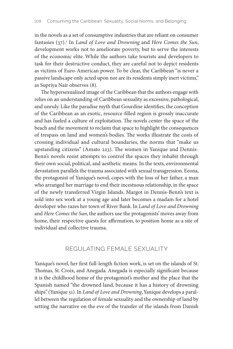in the novels as a set of consumptive industries that are reliant on consumer fantasies (37).3 In *Land of Love and Drowning* and *Here Comes the Sun*, development works not to ameliorate poverty, but to serve the interests of the economic elite. While the authors take tourists and developers to task for their destructive conduct, they are careful not to depict residents as victims of Euro-American power. To be clear, the Caribbean "is never a passive landscape only acted upon nor are its residents simply inert victims," as Supriya Nair observes (8).

The hypersexualized image of the Caribbean that the authors engage with relies on an understanding of Caribbean sexuality as excessive, pathological, and unruly. Like the paradise myth that Gourdine identifies, the conception of the Caribbean as an exotic, resource-filled region is grossly inaccurate and has fueled a culture of exploitation. The novels center the space of the beach and the movement to reclaim that space to highlight the consequences of trespass on land and women's bodies. The works illustrate the costs of crossing individual and cultural boundaries, the norms that "make us upstanding citizens" (Amato 223). The women in Yanique and Dennis-Benn's novels resist attempts to control the spaces they inhabit through their own social, political, and aesthetic means. In the texts, environmental devastation parallels the trauma associated with sexual transgression. Eeona, the protagonist of Yanique's novel, copes with the loss of her father, a man who arranged her marriage to end their incestuous relationship, in the space of the newly transferred Virgin Islands. Margot in Dennis-Benn's text is sold into sex work at a young age and later becomes a madam for a hotel developer who razes her town of River Bank. In *Land of Love and Drowning* and *Here Comes the Sun*, the authors use the protagonists' moves away from home, their respective quests for affirmation, to position home as a site of individual and collective trauma.

#### REGULATING FEMALE SEXUALITY

Yanique's novel, her first full-length fiction work, is set on the islands of St. Thomas, St. Croix, and Anegada. Anegada is especially significant because it is the childhood home of the protagonist's mother and the place that the Spanish named "the drowned land, because it has a history of drowning ships" (Yanique 51). In *Land of Love and Drowning*, Yanique develops a parallel between the regulation of female sexuality and the ownership of land by setting the narrative on the eve of the transfer of the islands from Danish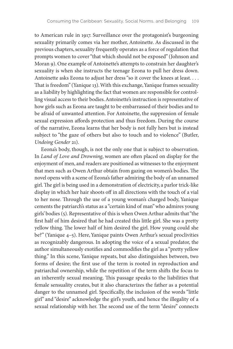to American rule in 1917. Surveillance over the protagonist's burgeoning sexuality primarily comes via her mother, Antoinette. As discussed in the previous chapters, sexuality frequently operates as a force of regulation that prompts women to cover "that which should not be exposed" (Johnson and Moran 9). One example of Antoinette's attempts to constrain her daughter's sexuality is when she instructs the teenage Eeona to pull her dress down. Antoinette asks Eeona to adjust her dress "so it cover the knees at least. . . . That is freedom" (Yanique 13). With this exchange, Yanique frames sexuality as a liability by highlighting the fact that women are responsible for controlling visual access to their bodies. Antoinette's instruction is representative of how girls such as Eeona are taught to be embarrassed of their bodies and to be afraid of unwanted attention. For Antoinette, the suppression of female sexual expression affords protection and thus freedom. During the course of the narrative, Eeona learns that her body is not fully hers but is instead subject to "the gaze of others but also to touch and to violence" (Butler, *Undoing Gender* 21).

Eeona's body, though, is not the only one that is subject to observation. In *Land of Love and Drowning*, women are often placed on display for the enjoyment of men, and readers are positioned as witnesses to the enjoyment that men such as Owen Arthur obtain from gazing on women's bodies. The novel opens with a scene of Eeona's father admiring the body of an unnamed girl. The girl is being used in a demonstration of electricity, a parlor trick-like display in which her hair shoots off in all directions with the touch of a vial to her nose. Through the use of a young woman's charged body, Yanique cements the patriarch's status as a "certain kind of man" who admires young girls' bodies (5). Representative of this is when Owen Arthur admits that "the first half of him desired that he had created this little girl. She was a pretty yellow thing. The lower half of him desired the girl. How young could she be?" (Yanique 4–5). Here, Yanique paints Owen Arthur's sexual proclivities as recognizably dangerous. In adopting the voice of a sexual predator, the author simultaneously exotifies and commodifies the girl as a "pretty yellow thing." In this scene, Yanique repeats, but also distinguishes between, two forms of desire; the first use of the term is rooted in reproduction and patriarchal ownership, while the repetition of the term shifts the focus to an inherently sexual meaning. This passage speaks to the liabilities that female sensuality creates, but it also characterizes the father as a potential danger to the unnamed girl. Specifically, the inclusion of the words "little girl" and "desire" acknowledge the girl's youth, and hence the illegality of a sexual relationship with her. The second use of the term "desire" connects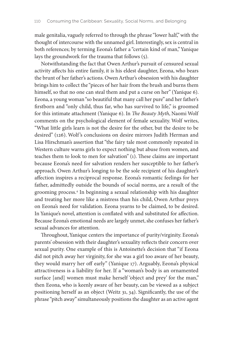male genitalia, vaguely referred to through the phrase "lower half," with the thought of intercourse with the unnamed girl. Interestingly, sex is central in both references; by terming Eeona's father a "certain kind of man," Yanique lays the groundwork for the trauma that follows (5).

Notwithstanding the fact that Owen Arthur's pursuit of censured sexual activity affects his entire family, it is his eldest daughter, Eeona, who bears the brunt of her father's actions. Owen Arthur's obsession with his daughter brings him to collect the "pieces of her hair from the brush and burns them himself, so that no one can steal them and put a curse on her" (Yanique 6). Eeona, a young woman "so beautiful that many call her pure" and her father's firstborn and "only child, thus far, who has survived to life," is groomed for this intimate attachment (Yanique 6). In *The Beauty Myth*, Naomi Wolf comments on the psychological element of female sexuality. Wolf writes, "What little girls learn is not the desire for the other, but the desire to be desired" (126). Wolf's conclusions on desire mirrors Judith Herman and Lisa Hirschman's assertion that "the fairy tale most commonly repeated in Western culture warns girls to expect nothing but abuse from women, and teaches them to look to men for salvation" (1). These claims are important because Eeona's need for salvation renders her susceptible to her father's approach. Owen Arthur's longing to be the sole recipient of his daughter's affection inspires a reciprocal response. Eeona's romantic feelings for her father, admittedly outside the bounds of social norms, are a result of the grooming process.4 In beginning a sexual relationship with his daughter and treating her more like a mistress than his child, Owen Arthur preys on Eeona's need for validation. Eeona yearns to be claimed, to be desired. In Yanique's novel, attention is conflated with and substituted for affection. Because Eeona's emotional needs are largely unmet, she confuses her father's sexual advances for attention.

Throughout, Yanique centers the importance of purity/virginity. Eeona's parents' obsession with their daughter's sexuality reflects their concern over sexual purity. One example of this is Antoinette's decision that "if Eeona did not pitch away her virginity, for she was a girl too aware of her beauty, they would marry her off early" (Yanique 17). Arguably, Eeona's physical attractiveness is a liability for her. If a "woman's body is an ornamented surface [and] women must make herself 'object and prey' for the man," then Eeona, who is keenly aware of her beauty, can be viewed as a subject positioning herself as an object (Weitz 31, 34). Significantly, the use of the phrase "pitch away" simultaneously positions the daughter as an active agent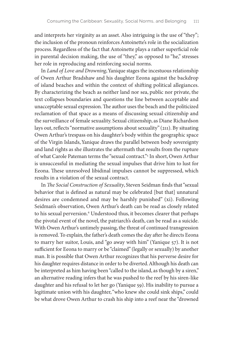and interprets her virginity as an asset. Also intriguing is the use of "they"; the inclusion of the pronoun reinforces Antoinette's role in the socialization process. Regardless of the fact that Antoinette plays a rather superficial role in parental decision making, the use of "they," as opposed to "he," stresses her role in reproducing and reinforcing social norms.

In *Land of Love and Drowning*, Yanique stages the incestuous relationship of Owen Arthur Bradshaw and his daughter Eeona against the backdrop of island beaches and within the context of shifting political allegiances. By characterizing the beach as neither land nor sea, public nor private, the text collapses boundaries and questions the line between acceptable and unacceptable sexual expression. The author uses the beach and the politicized reclamation of that space as a means of discussing sexual citizenship and the surveillance of female sexuality. Sexual citizenship, as Diane Richardson lays out, reflects "normative assumptions about sexuality" (211). By situating Owen Arthur's trespass on his daughter's body within the geographic space of the Virgin Islands, Yanique draws the parallel between body sovereignty and land rights as she illustrates the aftermath that results from the rupture of what Carole Pateman terms the "sexual contract."5 In short, Owen Arthur is unsuccessful in mediating the sexual impulses that drive him to lust for Eeona. These unresolved libidinal impulses cannot be suppressed, which results in a violation of the sexual contract.

In *The Social Construction of Sexuality*, Steven Seidman finds that "sexual behavior that is defined as natural may be celebrated [but that] unnatural desires are condemned and may be harshly punished" (xi). Following Seidman's observation, Owen Arthur's death can be read as closely related to his sexual perversion.<sup>6</sup> Understood thus, it becomes clearer that perhaps the pivotal event of the novel, the patriarch's death, can be read as a suicide. With Owen Arthur's untimely passing, the threat of continued transgression is removed. To explain, the father's death comes the day after he directs Eeona to marry her suitor, Louis, and "go away with him" (Yanique 57). It is not sufficient for Eeona to marry or be "claimed" (legally or sexually) by another man. It is possible that Owen Arthur recognizes that his perverse desire for his daughter requires distance in order to be diverted. Although his death can be interpreted as him having been "called to the island, as though by a siren," an alternative reading infers that he was pushed to the reef by his siren-like daughter and his refusal to let her go (Yanique 59). His inability to pursue a legitimate union with his daughter, "who knew she could sink ships," could be what drove Owen Arthur to crash his ship into a reef near the "drowned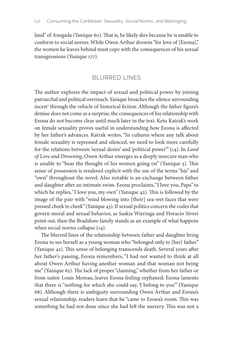land" of Anegada (Yanique 60). That is, he likely dies because he is unable to conform to social norms. While Owen Arthur drowns "for love of [Eeona]," the women he leaves behind must cope with the consequences of his sexual transgressions (Yanique 177).

#### BLURRED LINES

The author explores the impact of sexual and political power by joining patriarchal and political overreach. Yanique broaches the silence surrounding incest<sup>7</sup> through the vehicle of historical fiction. Although the father figure's demise does not come as a surprise, the consequences of his relationship with Eeona do not become clear until much later in the text. Ketu Katrak's work on female sexuality proves useful in understanding how Eeona is affected by her father's advances. Katrak writes, "In cultures where any talk about female sexuality is repressed and silenced, we need to look more carefully for the relations between 'sexual desire' and 'political power'" (14). In *Land of Love and Drowning*, Owen Arthur emerges as a deeply insecure man who is unable to "bear the thought of his women going on" (Yanique 5). This sense of possession is rendered explicit with the use of the terms "his" and "own" throughout the novel. Also notable is an exchange between father and daughter after an intimate swim. Eeona proclaims, "I love you, Papa" to which he replies, "I love you, my own" (Yanique 42). This is followed by the image of the pair with "wind blowing into [their] sea-wet faces that were pressed cheek to cheek" (Yanique 43). If sexual politics concern the codes that govern moral and sexual behavior, as Saskia Wieringa and Horacio Sívori point out, then the Bradshaw family stands as an example of what happens when social norms collapse (14).

The blurred lines of the relationship between father and daughter bring Eeona to see herself as a young woman who "belonged only to [her] father" (Yanique 42). This sense of belonging transcends death. Several years after her father's passing, Eeona remembers, "I had not wanted to think at all about Owen Arthur having another woman and that woman not being me" (Yanique 65). The lack of proper "claiming," whether from her father or from suitor Louis Moreau, leaves Eeona feeling orphaned; Eeona laments that there is "nothing for which she could say, 'I belong to you'" (Yanique 68). Although there is ambiguity surrounding Owen Arthur and Eeona's sexual relationship, readers learn that he "came to Eeona's room. This was something he had not done since she had left the nursery. This was not a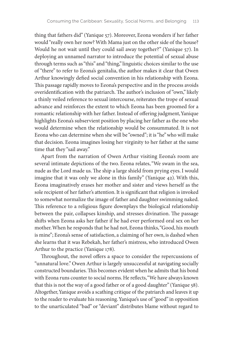thing that fathers did" (Yanique 57). Moreover, Eeona wonders if her father would "really own her now? With Mama just on the other side of the house? Would he not wait until they could sail away together?" (Yanique 57). In deploying an unnamed narrator to introduce the potential of sexual abuse through terms such as "this" and "thing," linguistic choices similar to the use of "there" to refer to Eeona's genitalia, the author makes it clear that Owen Arthur knowingly defied social convention in his relationship with Eeona. This passage rapidly moves to Eeona's perspective and in the process avoids overidentification with the patriarch. The author's inclusion of "own," likely a thinly veiled reference to sexual intercourse, reiterates the trope of sexual advance and reinforces the extent to which Eeona has been groomed for a romantic relationship with her father. Instead of offering judgment, Yanique highlights Eeona's subservient position by placing her father as the one who would determine when the relationship would be consummated. It is not Eeona who can determine when she will be "owned"; it is "he" who will make that decision. Eeona imagines losing her virginity to her father at the same time that they "sail away."

Apart from the narration of Owen Arthur visiting Eeona's room are several intimate depictions of the two. Eeona relates, "We swam in the sea, nude as the Lord made us. The ship a large shield from prying eyes. I would imagine that it was only we alone in this family" (Yanique 42). With this, Eeona imaginatively erases her mother and sister and views herself as the sole recipient of her father's attention. It is significant that religion is invoked to somewhat normalize the image of father and daughter swimming naked. This reference to a religious figure downplays the biological relationship between the pair, collapses kinship, and stresses divination. The passage shifts when Eeona asks her father if he had ever performed oral sex on her mother. When he responds that he had not, Eeona thinks, "Good, his mouth is mine"; Eeona's sense of satisfaction, a claiming of her own, is dashed when she learns that it was Rebekah, her father's mistress, who introduced Owen Arthur to the practice (Yanique 178).

Throughout, the novel offers a space to consider the repercussions of "unnatural love." Owen Arthur is largely unsuccessful at navigating socially constructed boundaries. This becomes evident when he admits that his bond with Eeona runs counter to social norms. He reflects, "We have always known that this is not the way of a good father or of a good daughter" (Yanique 58). Altogether, Yanique avoids a scathing critique of the patriarch and leaves it up to the reader to evaluate his reasoning. Yanique's use of "good" in opposition to the unarticulated "bad" or "deviant" distributes blame without regard to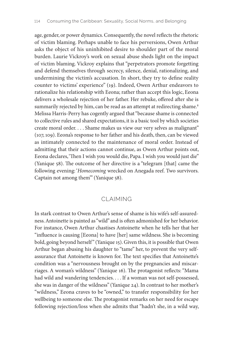age, gender, or power dynamics. Consequently, the novel reflects the rhetoric of victim blaming. Perhaps unable to face his perversions, Owen Arthur asks the object of his uninhibited desire to shoulder part of the moral burden. Laurie Vickroy's work on sexual abuse sheds light on the impact of victim blaming. Vickroy explains that "perpetrators promote forgetting and defend themselves through secrecy, silence, denial, rationalizing, and undermining the victim's accusation. In short, they try to define reality counter to victims' experience" (19). Indeed, Owen Arthur endeavors to rationalize his relationship with Eeona; rather than accept this logic, Eeona delivers a wholesale rejection of her father. Her rebuke, offered after she is summarily rejected by him, can be read as an attempt at redirecting shame.<sup>8</sup> Melissa Harris-Perry has cogently argued that "because shame is connected to collective rules and shared expectations, it is a basic tool by which societies create moral order. . . . Shame makes us view our very selves as malignant" (107, 109). Eeona's response to her father and his death, then, can be viewed as intimately connected to the maintenance of moral order. Instead of admitting that their actions cannot continue, as Owen Arthur points out, Eeona declares, 'Then I wish you would die, Papa. I wish you would just die" (Yanique 58). The outcome of her directive is a "telegram [that] came the following evening: '*Homecoming* wrecked on Anegada reef. Two survivors. Captain not among them'" (Yanique 58).

#### CLAIMING

In stark contrast to Owen Arthur's sense of shame is his wife's self-assuredness. Antoinette is painted as "wild" and is often admonished for her behavior. For instance, Owen Arthur chastises Antoinette when he tells her that her "influence is causing [Eeona] to have [her] same wildness. She is becoming bold, going beyond herself" (Yanique 15). Given this, it is possible that Owen Arthur began abusing his daughter to "tame" her, to prevent the very selfassurance that Antoinette is known for. The text specifies that Antoinette's condition was a "nervousness brought on by the pregnancies and miscarriages. A woman's wildness" (Yanique 16). The protagonist reflects: "Mama had wild and wandering tendencies. . . . If a woman was not self-possessed, she was in danger of the wildness" (Yanique 24). In contrast to her mother's "wildness," Eeona craves to be "owned," to transfer responsibility for her wellbeing to someone else. The protagonist remarks on her need for escape following rejection/loss when she admits that "hadn't she, in a wild way,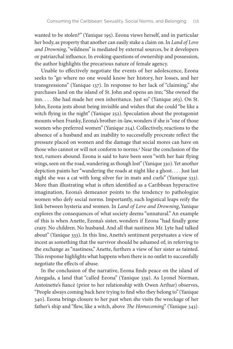wanted to be stolen?" (Yanique 195). Eeona views herself, and in particular her body, as property that another can easily stake a claim on. In *Land of Love and Drowning*, "wildness" is mediated by external sources, be it developers or patriarchal influence. In evoking questions of ownership and possession, the author highlights the precarious nature of female agency.

Unable to effectively negotiate the events of her adolescence, Eeona seeks to "go where no one would know her history, her losses, and her transgressions" (Yanique 137). In response to her lack of "claiming," she purchases land on the island of St. John and opens an inn; "She owned the inn. . . . She had made her own inheritance. Just so" (Yanique 263). On St. John, Eeona jests about being invisible and wishes that she could "be like a witch flying in the night" (Yanique 252). Speculation about the protagonist mounts when Franky, Eeona's brother-in-law, wonders if she is "one of those women who preferred women" (Yanique 254). Collectively, reactions to the absence of a husband and an inability to successfully procreate reflect the pressure placed on women and the damage that social mores can have on those who cannot or will not conform to norms.9 Near the conclusion of the text, rumors abound. Eeona is said to have been seen "with her hair flying wings, seen on the road, wandering as though lost" (Yanique 330). Yet another depiction paints her "wandering the roads at night like a ghost. . . . Just last night she *was* a cat with long silver fur in mats and curls" (Yanique 333). More than illustrating what is often identified as a Caribbean hyperactive imagination, Eeona's demeanor points to the tendency to pathologize women who defy social norms. Importantly, such logistical leaps reify the link between hysteria and women. In *Land of Love and Drowning*, Yanique explores the consequences of what society deems "unnatural." An example of this is when Anette, Eeona's sister, wonders if Eeona "had finally gone crazy. No children. No husband. And all that nastiness Mr. Lyte had talked about" (Yanique 333). In this line, Anette's sentiment perpetuates a view of incest as something that the survivor should be ashamed of; in referring to the exchange as "nastiness," Anette, furthers a view of her sister as tainted. This response highlights what happens when there is no outlet to successfully negotiate the effects of abuse.

In the conclusion of the narrative, Eeona finds peace on the island of Anegada, a land that "called Eeona" (Yanique 339). As Lyonel Norman, Antoinette's fiancé (prior to her relationship with Owen Arthur) observes, "People always coming back here trying to find who they belong to" (Yanique 340). Eeona brings closure to her past when she visits the wreckage of her father's ship and "flew, like a witch, above *The Homecoming*" (Yanique 343).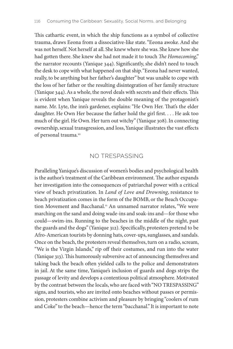This cathartic event, in which the ship functions as a symbol of collective trauma, draws Eeona from a dissociative-like state. "Eeona awoke. And she was not herself. Not herself at all. She knew where she was. She knew how she had gotten there. She knew she had not made it to touch *The Homecoming*," the narrator recounts (Yanique 344). Significantly, she didn't need to touch the desk to cope with what happened on that ship. "Eeona had never wanted, really, to be anything but her father's daughter" but was unable to cope with the loss of her father or the resulting disintegration of her family structure (Yanique 344). As a whole, the novel deals with secrets and their effects. This is evident when Yanique reveals the double meaning of the protagonist's name. Mr. Lyte, the inn's gardener, explains: "He Own Her. That's the elder daughter. He Own Her because the father hold the girl first. . . . He ask too much of the girl. He Own. Her turn out witchy" (Yanique 308). In connecting ownership, sexual transgression, and loss, Yanique illustrates the vast effects of personal trauma.10

#### NO TRESPASSING

Paralleling Yanique's discussion of women's bodies and psychological health is the author's treatment of the Caribbean environment. The author expands her investigation into the consequences of patriarchal power with a critical view of beach privatization. In *Land of Love and Drowning*, resistance to beach privatization comes in the form of the BOMB, or the Beach Occupation Movement and Bacchanal.<sup>11</sup> An unnamed narrator relates, "We were marching on the sand and doing wade-ins and soak-ins and—for those who could—swim-ins. Running to the beaches in the middle of the night, past the guards and the dogs" (Yanique 312). Specifically, protesters pretend to be Afro-American tourists by donning hats, cover-ups, sunglasses, and sandals. Once on the beach, the protesters reveal themselves, turn on a radio, scream, "We is the Virgin Islands," rip off their costumes, and run into the water (Yanique 313). This humorously subversive act of announcing themselves and taking back the beach often yielded calls to the police and demonstrators in jail. At the same time, Yanique's inclusion of guards and dogs strips the passage of levity and develops a contentious political atmosphere. Motivated by the contrast between the locals, who are faced with "NO TRESPASSING" signs, and tourists, who are invited onto beaches without passes or permission, protesters combine activism and pleasure by bringing "coolers of rum and Coke" to the beach—hence the term "bacchanal." It is important to note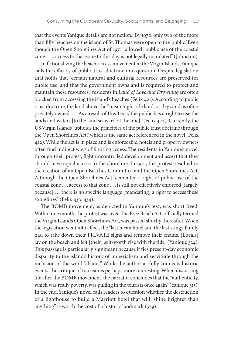that the events Yanique details are not fiction. "By 1970, only two of the more than fifty beaches on the island of St. Thomas were open to the 'public.' Even though the Open Shorelines Act of 1971 [allowed] public use of the coastal zone . . . , access to that zone to this day is not legally mandated" (Johnston).

In fictionalizing the beach-access movement in the Virgin Islands, Yanique calls the efficacy of public trust doctrine into question. Despite legislation that holds that "certain natural and cultural resources are preserved for public use, and that the government owns and is required to protect and maintain these resources," residents in *Land of Love and Drowning* are often blocked from accessing the island's beaches (Felix 421). According to public trust doctrine, the land above the "mean high-tide land, or dry sand, is often privately owned. . . . As a result of this 'trust,' the public has a right to use the lands and waters [to the land seaward of the line]" (Felix 424). Currently, the US Virgin Islands "upholds the principles of the public trust doctrine through the Open Shorelines Act," which is the same act referenced in the novel (Felix 422). While the act is in place and is enforceable, hotels and property owners often find indirect ways of limiting access. The residents in Yanique's novel, through their protest, fight uncontrolled development and assert that they should have equal access to the shoreline. In 1971, the protest resulted in the creation of an Open Beaches Committee and the Open Shorelines Act. Although the Open Shorelines Act "cemented a right of public use of the coastal zone . . . access to that zone . . . is still not effectively enforced [largely because] . . . there is no specific language [mandating] a right to access these shorelines" (Felix 430, 434).

The BOMB movement, as depicted in Yanique's text, was short-lived. Within one month, the protest was over. The Free Beach Act, officially termed the Virgin Islands Open Shorelines Act, was passed shortly thereafter. When the legislation went into effect, the "last mean hotel and the last stingy family had to take down their PRIVATE signs and remove their chains. [Locals] lay on the beach and felt [their] self-worth rise with the tide" (Yanique 324). This passage is particularly significant because it ties present-day economic disparity to the island's history of imperialism and servitude through the inclusion of the word "chains." While the author artfully connects historic events, the critique of tourism is perhaps more interesting. When discussing life after the BOMB movement, the narrator concludes that the "authenticity, which was really poverty, was pulling in the tourists once again" (Yanique 315). In the end, Yanique's novel calls readers to question whether the destruction of a lighthouse to build a Marriott hotel that will "shine brighter than anything" is worth the cost of a historic landmark (329).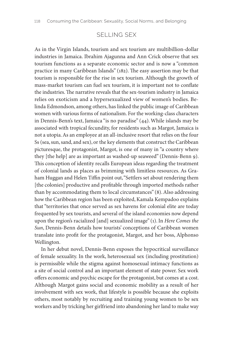#### SELLING SEX

As in the Virgin Islands, tourism and sex tourism are multibillion-dollar industries in Jamaica. Ibrahim Ajagunna and Ann Crick observe that sex tourism functions as a separate economic sector and is now a "common practice in many Caribbean Islands" (182). The easy assertion may be that tourism is responsible for the rise in sex tourism. Although the growth of mass-market tourism can fuel sex tourism, it is important not to conflate the industries. The narrative reveals that the sex-tourism industry in Jamaica relies on exoticism and a hypersexualized view of women's bodies. Belinda Edmondson, among others, has linked the public image of Caribbean women with various forms of nationalism. For the working-class characters in Dennis-Benn's text, Jamaica "is no paradise" (44). While islands may be associated with tropical fecundity, for residents such as Margot, Jamaica is not a utopia. As an employee at an all-inclusive resort that relies on the four Ss (sea, sun, sand, and sex), or the key elements that construct the Caribbean picturesque, the protagonist, Margot, is one of many in "a country where they [the help] are as important as washed-up seaweed" (Dennis-Benn 9). This conception of identity recalls European ideas regarding the treatment of colonial lands as places as brimming with limitless resources. As Graham Huggan and Helen Tiffin point out, "Settlers set about rendering them [the colonies] productive and profitable through imported methods rather than by accommodating them to local circumstances" (8). Also addressing how the Caribbean region has been exploited, Kamala Kempadoo explains that "territories that once served as sex havens for colonial elite are today frequented by sex tourists, and several of the island economies now depend upon the region's racialized [and] sexualized image" (1). In *Here Comes the Sun*, Dennis-Benn details how tourists' conceptions of Caribbean women translate into profit for the protagonist, Margot, and her boss, Alphonso Wellington.

In her debut novel, Dennis-Benn exposes the hypocritical surveillance of female sexuality. In the work, heterosexual sex (including prostitution) is permissible while the stigma against homosexual intimacy functions as a site of social control and an important element of state power. Sex work offers economic and psychic escape for the protagonist, but comes at a cost. Although Margot gains social and economic mobility as a result of her involvement with sex work, that lifestyle is possible because she exploits others, most notably by recruiting and training young women to be sex workers and by tricking her girlfriend into abandoning her land to make way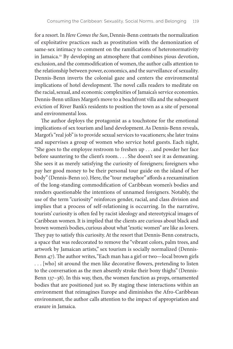for a resort. In *Here Comes the Sun*, Dennis-Benn contrasts the normalization of exploitative practices such as prostitution with the demonization of same-sex intimacy to comment on the ramifications of heteronormativity in Jamaica.12 By developing an atmosphere that combines pious devotion, exclusion, and the commodification of women, the author calls attention to the relationship between power, economics, and the surveillance of sexuality. Dennis-Benn inverts the colonial gaze and centers the environmental implications of hotel development. The novel calls readers to meditate on the racial, sexual, and economic complexities of Jamaica's service economies. Dennis-Benn utilizes Margot's move to a beachfront villa and the subsequent eviction of River Bank's residents to position the town as a site of personal and environmental loss.

The author deploys the protagonist as a touchstone for the emotional implications of sex tourism and land development. As Dennis-Benn reveals, Margot's "real job" is to provide sexual services to vacationers; she later trains and supervises a group of women who service hotel guests. Each night, "She goes to the employee restroom to freshen up . . . and powder her face before sauntering to the client's room. . . . She doesn't see it as demeaning. She sees it as merely satisfying the curiosity of foreigners; foreigners who pay her good money to be their personal tour guide on the island of her body" (Dennis-Benn 10). Here, the "tour metaphor" affords a reexamination of the long-standing commodification of Caribbean women's bodies and renders questionable the intentions of unnamed foreigners. Notably, the use of the term "curiosity" reinforces gender, racial, and class division and implies that a process of self-relationing is occurring. In the narrative, tourists' curiosity is often fed by racist ideology and stereotypical images of Caribbean women. It is implied that the clients are curious about black and brown women's bodies, curious about what "exotic women" are like as lovers. They pay to satisfy this curiosity. At the resort that Dennis-Benn constructs, a space that was redecorated to remove the "vibrant colors, palm trees, and artwork by Jamaican artists," sex tourism is socially normalized (Dennis-Benn 47). The author writes, "Each man has a girl or two—local brown girls . . . [who] sit around the men like decorative flowers, pretending to listen to the conversation as the men absently stroke their bony thighs" (Dennis-Benn 137–38). In this way, then, the women function as props, ornamented bodies that are positioned just so. By staging these interactions within an environment that reimagines Europe and diminishes the Afro-Caribbean environment, the author calls attention to the impact of appropriation and erasure in Jamaica.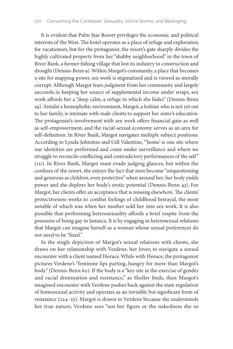It is evident that Palm Star Resort privileges the economic and political interests of the West. The hotel operates as a place of refuge and exploration for vacationers, but for the protagonist, the resort's gate sharply divides the highly cultivated property from her "shabby neighborhood" in the town of River Bank, a former fishing village that lost its industry to construction and drought (Dennis-Benn 9). Within Margot's community, a place that becomes a site for mapping power, sex work is stigmatized and is viewed as morally corrupt. Although Margot fears judgment from her community and largely succeeds in keeping her source of supplemental income under wraps, sex work affords her a "deep calm, a refuge in which she hides" (Dennis-Benn 59). Amidst a homophobic environment, Margot, a lesbian who is not yet out to her family, is intimate with male clients to support her sister's education. The protagonist's involvement with sex work offers financial gain as well as self-empowerment, and the racial-sexual economy serves as an area for self-definition. In River Bank, Margot navigates multiple subject positions. According to Lynda Johnston and Gill Valentine, "'home' is one site where our identities are performed and come under surveillance and where we struggle to reconcile conflicting and contradictory performances of the self" (111). In River Bank, Margot must evade judging glances, but within the confines of the resort, she enjoys the fact that men become "unquestioning and generous as children, even protective" when around her; her body yields power and she deploys her body's erotic potential (Dennis-Benn 43). For Margot, her clients offer an acceptance that is missing elsewhere. The clients' protectiveness works to combat feelings of childhood betrayal, the most notable of which was when her mother sold her into sex work. It is also possible that performing heterosexuality affords a brief respite from the pressures of being gay in Jamaica. It is by engaging in heterosexual relations that Margot can imagine herself as a woman whose sexual preferences do not need to be "fixed."

In the single depiction of Margot's sexual relations with clients, she draws on her relationship with Verdene, her lover, to navigate a sexual encounter with a client named Horace. While with Horace, the protagonist pictures Verdene's "feminine lips parting, hungry for more than Margot's body" (Dennis-Benn 60). If the body is a "key site in the exercise of gender and racial domination and resistance," as Sheller finds, then Margot's imagined encounter with Verdene pushes back against the state regulation of homosexual activity and operates as an invisible but significant form of resistance (224–25). Margot is drawn to Verdene because she understands her true nature; Verdene sees "not her figure or the nakedness she so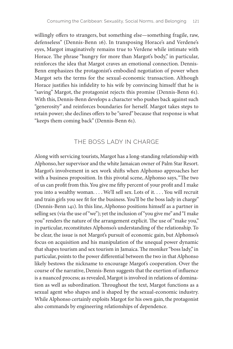willingly offers to strangers, but something else—something fragile, raw, defenseless" (Dennis-Benn 16). In transposing Horace's and Verdene's eyes, Margot imaginatively remains true to Verdene while intimate with Horace. The phrase "hungry for more than Margot's body," in particular, reinforces the idea that Margot craves an emotional connection. Dennis-Benn emphasizes the protagonist's embodied negotiation of power when Margot sets the terms for the sexual-economic transaction. Although Horace justifies his infidelity to his wife by convincing himself that he is "saving" Margot, the protagonist rejects this promise (Dennis-Benn 61). With this, Dennis-Benn develops a character who pushes back against such "generosity" and reinforces boundaries for herself. Margot takes steps to retain power; she declines offers to be "saved" because that response is what "keeps them coming back" (Dennis-Benn 61).

#### THE BOSS LADY IN CHARGE

Along with servicing tourists, Margot has a long-standing relationship with Alphonso, her supervisor and the white Jamaican owner of Palm Star Resort. Margot's involvement in sex work shifts when Alphonso approaches her with a business proposition. In this pivotal scene, Alphonso says, "The two of us can profit from this. You give me fifty percent of your profit and I make you into a wealthy woman. . . . We'll sell sex. Lots of it. . . . You will recruit and train girls you see fit for the business. You'll be the boss lady in charge" (Dennis-Benn 141). In this line, Alphonso positions himself as a partner in selling sex (via the use of "we"); yet the inclusion of "you give me" and "I make you" renders the nature of the arrangement explicit. The use of "make you," in particular, reconstitutes Alphonso's understanding of the relationship. To be clear, the issue is not Margot's pursuit of economic gain, but Alphonso's focus on acquisition and his manipulation of the unequal power dynamic that shapes tourism and sex tourism in Jamaica. The moniker "boss lady," in particular, points to the power differential between the two in that Alphonso likely bestows the nickname to encourage Margot's cooperation. Over the course of the narrative, Dennis-Benn suggests that the exertion of influence is a nuanced process; as revealed, Margot is involved in relations of domination as well as subordination. Throughout the text, Margot functions as a sexual agent who shapes and is shaped by the sexual-economic industry. While Alphonso certainly exploits Margot for his own gain, the protagonist also commands by engineering relationships of dependence.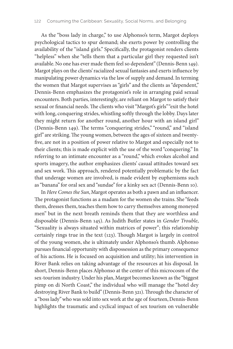As the "boss lady in charge," to use Alphonso's term, Margot deploys psychological tactics to spur demand; she exerts power by controlling the availability of the "island girls." Specifically, the protagonist renders clients "helpless" when she "tells them that a particular girl they requested isn't available. No one has ever made them feel so dependent" (Dennis-Benn 149). Margot plays on the clients' racialized sexual fantasies and exerts influence by manipulating power dynamics via the law of supply and demand. In terming the women that Margot supervises as "girls" and the clients as "dependent," Dennis-Benn emphasizes the protagonist's role in arranging paid sexual encounters. Both parties, interestingly, are reliant on Margot to satisfy their sexual or financial needs. The clients who visit "Margot's girls" "exit the hotel with long, conquering strides, whistling softly through the lobby. Days later they might return for another round, another hour with an island girl" (Dennis-Benn 149). The terms "conquering strides," "round," and "island girl" are striking. The young women, between the ages of sixteen and twentyfive, are not in a position of power relative to Margot and especially not to their clients; this is made explicit with the use of the word "conquering." In referring to an intimate encounter as a "round," which evokes alcohol and sports imagery, the author emphasizes clients' casual attitudes toward sex and sex work. This approach, rendered potentially problematic by the fact that underage women are involved, is made evident by euphemisms such as "banana" for oral sex and "sundae" for a kinky sex act (Dennis-Benn 10).

In *Here Comes the Sun*, Margot operates as both a pawn and an influencer. The protagonist functions as a madam for the women she trains. She "feeds them, dresses them, teaches them how to carry themselves among moneyed men" but in the next breath reminds them that they are worthless and disposable (Dennis-Benn 145). As Judith Butler states in *Gender Trouble*, "Sexuality is always situated within matrices of power"; this relationship certainly rings true in the text (123). Though Margot is largely in control of the young women, she is ultimately under Alphonso's thumb. Alphonso pursues financial opportunity with dispossession as the primary consequence of his actions. He is focused on acquisition and utility; his intervention in River Bank relies on taking advantage of the resources at his disposal. In short, Dennis-Benn places Alphonso at the center of this microcosm of the sex-tourism industry. Under his plan, Margot becomes known as the "biggest pimp on di North Coast," the individual who will manage the "hotel dey destroying River Bank to build" (Dennis-Benn 321). Through the character of a "boss lady" who was sold into sex work at the age of fourteen, Dennis-Benn highlights the traumatic and cyclical impact of sex tourism on vulnerable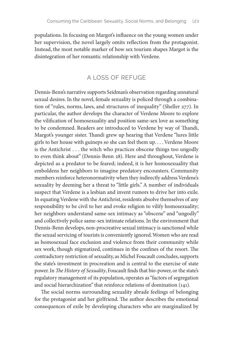populations. In focusing on Margot's influence on the young women under her supervision, the novel largely omits reflection from the protagonist. Instead, the most notable marker of how sex tourism shapes Margot is the disintegration of her romantic relationship with Verdene.

#### A LOSS OF REFUGE

Dennis-Benn's narrative supports Seidman's observation regarding unnatural sexual desires. In the novel, female sexuality is policed through a combination of "rules, norms, laws, and structures of inequality" (Sheller 277). In particular, the author develops the character of Verdene Moore to explore the vilification of homosexuality and position same-sex love as something to be condemned. Readers are introduced to Verdene by way of Thandi, Margot's younger sister. Thandi grew up hearing that Verdene "lures little girls to her house with guineps so she can feel them up. . . . Verdene Moore is the Antichrist . . . the witch who practices obscene things too ungodly to even think about" (Dennis-Benn 28). Here and throughout, Verdene is depicted as a predator to be feared; indeed, it is her homosexuality that emboldens her neighbors to imagine predatory encounters. Community members reinforce heteronormativity when they indirectly address Verdene's sexuality by deeming her a threat to "little girls." A number of individuals suspect that Verdene is a lesbian and invent rumors to drive her into exile. In equating Verdene with the Antichrist, residents absolve themselves of any responsibility to be civil to her and evoke religion to vilify homosexuality; her neighbors understand same-sex intimacy as "obscene" and "ungodly" and collectively police same-sex intimate relations. In the environment that Dennis-Benn develops, non-procreative sexual intimacy is sanctioned while the sexual servicing of tourists is conveniently ignored. Women who are read as homosexual face exclusion and violence from their community while sex work, though stigmatized, continues in the confines of the resort. The contradictory restriction of sexuality, as Michel Foucault concludes, supports the state's investment in procreation and is central to the exercise of state power. In *The History of Sexuality*, Foucault finds that bio-power, or the state's regulatory management of its population, operates as "factors of segregation and social hierarchization" that reinforce relations of domination (141).

The social norms surrounding sexuality abrade feelings of belonging for the protagonist and her girlfriend. The author describes the emotional consequences of exile by developing characters who are marginalized by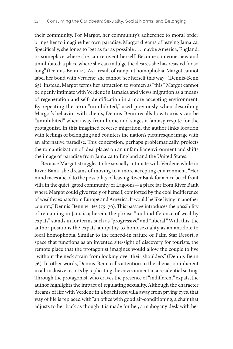their community. For Margot, her community's adherence to moral order brings her to imagine her own paradise. Margot dreams of leaving Jamaica. Specifically, she longs to "get as far as possible . . . maybe America, England, or someplace where she can reinvent herself. Become someone new and uninhibited; a place where she can indulge the desires she has resisted for so long" (Dennis-Benn 14). As a result of rampant homophobia, Margot cannot label her bond with Verdene; she cannot "see herself this way" (Dennis-Benn 65). Instead, Margot terms her attraction to women as "this." Margot cannot be openly intimate with Verdene in Jamaica and views migration as a means of regeneration and self-identification in a more accepting environment. By repeating the term "uninhibited," used previously when describing Margot's behavior with clients, Dennis-Benn recalls how tourists can be "uninhibited" when away from home and stages a fantasy respite for the protagonist. In this imagined reverse migration, the author links location with feelings of belonging and counters the nation's picturesque image with an alternative paradise. This conception, perhaps problematically, projects the romanticization of ideal places on an unfamiliar environment and shifts the image of paradise from Jamaica to England and the United States.

Because Margot struggles to be sexually intimate with Verdene while in River Bank, she dreams of moving to a more accepting environment. "Her mind races ahead to the possibility of leaving River Bank for a nice beachfront villa in the quiet, gated community of Lagoons—a place far from River Bank where Margot could give freely of herself, comforted by the cool indifference of wealthy expats from Europe and America. It would be like living in another country," Dennis-Benn writes (75–76). This passage introduces the possibility of remaining in Jamaica; herein, the phrase "cool indifference of wealthy expats" stands in for terms such as "progressive" and "liberal." With this, the author positions the expats' antipathy to homosexuality as an antidote to local homophobia. Similar to the fenced-in nature of Palm Star Resort, a space that functions as an invented site/sight of discovery for tourists, the remote place that the protagonist imagines would allow the couple to live "without the neck strain from looking over their shoulders" (Dennis-Benn 76). In other words, Dennis-Benn calls attention to the alienation inherent in all-inclusive resorts by replicating the environment in a residential setting. Through the protagonist, who craves the presence of "indifferent" expats, the author highlights the impact of regulating sexuality. Although the character dreams of life with Verdene in a beachfront villa away from prying eyes, that way of life is replaced with "an office with good air-conditioning, a chair that adjusts to her back as though it is made for her, a mahogany desk with her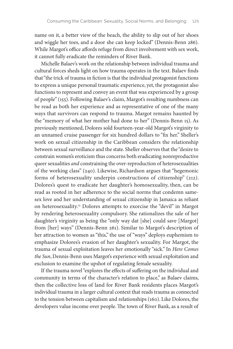name on it, a better view of the beach, the ability to slip out of her shoes and wiggle her toes, and a door she can keep locked" (Dennis-Benn 286). While Margot's office affords refuge from direct involvement with sex work, it cannot fully eradicate the reminders of River Bank.

Michelle Balaev's work on the relationship between individual trauma and cultural forces sheds light on how trauma operates in the text. Balaev finds that "the trick of trauma in fiction is that the individual protagonist functions to express a unique personal traumatic experience, yet, the protagonist also functions to represent and convey an event that was experienced by a group of people" (155). Following Balaev's claim, Margot's resulting numbness can be read as both her experience and as representative of one of the many ways that survivors can respond to trauma. Margot remains haunted by the "memory of what her mother had done to her" (Dennis-Benn 15). As previously mentioned, Dolores sold fourteen-year-old Margot's virginity to an unnamed cruise passenger for six hundred dollars to "fix her." Sheller's work on sexual citizenship in the Caribbean considers the relationship between sexual surveillance and the state. Sheller observes that the "desire to constrain women's eroticism thus concerns both eradicating nonreproductive queer sexualities *and* constraining the over-reproduction of heterosexualities of the working class" (240). Likewise, Richardson argues that "hegemonic forms of heterosexuality underpin constructions of citizenship" (212). Dolores's quest to eradicate her daughter's homosexuality, then, can be read as rooted in her adherence to the social norms that condemn samesex love and her understanding of sexual citizenship in Jamaica as reliant on heterosexuality.13 Dolores attempts to exorcise the "devil" in Margot by rendering heterosexuality compulsory. She rationalizes the sale of her daughter's virginity as being the "only way dat [she] could save [Margot] from [her] ways" (Dennis-Benn 261). Similar to Margot's description of her attraction to women as "this," the use of "ways" deploys euphemism to emphasize Dolores's evasion of her daughter's sexuality. For Margot, the trauma of sexual exploitation leaves her emotionally "sick." In *Here Comes the Sun*, Dennis-Benn uses Margot's experience with sexual exploitation and exclusion to examine the upshot of regulating female sexuality.

If the trauma novel "explores the effects of suffering on the individual and community in terms of the character's relation to place," as Balaev claims, then the collective loss of land for River Bank residents places Margot's individual trauma in a larger cultural context that reads trauma as connected to the tension between capitalism and relationships (160). Like Dolores, the developers value income over people. The town of River Bank, as a result of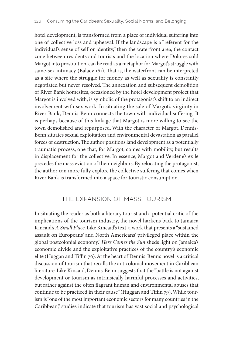hotel development, is transformed from a place of individual suffering into one of collective loss and upheaval. If the landscape is a "referent for the individual's sense of self or identity," then the waterfront area, the contact zone between residents and tourists and the location where Dolores sold Margot into prostitution, can be read as a metaphor for Margot's struggle with same-sex intimacy (Balaev 161). That is, the waterfront can be interpreted as a site where the struggle for money as well as sexuality is constantly negotiated but never resolved. The annexation and subsequent demolition of River Bank homesites, occasioned by the hotel development project that Margot is involved with, is symbolic of the protagonist's shift to an indirect involvement with sex work. In situating the sale of Margot's virginity in River Bank, Dennis-Benn connects the town with individual suffering. It is perhaps because of this linkage that Margot is more willing to see the town demolished and repurposed. With the character of Margot, Dennis-Benn situates sexual exploitation and environmental devastation as parallel forces of destruction. The author positions land development as a potentially traumatic process, one that, for Margot, comes with mobility, but results in displacement for the collective. In essence, Margot and Verdene's exile precedes the mass eviction of their neighbors. By relocating the protagonist, the author can more fully explore the collective suffering that comes when River Bank is transformed into a space for touristic consumption.

#### THE EXPANSION OF MASS TOURISM

In situating the reader as both a literary tourist and a potential critic of the implications of the tourism industry, the novel harkens back to Jamaica Kincaid's *A Small Place*. Like Kincaid's text, a work that presents a "sustained assault on Europeans' and North Americans' privileged place within the global postcolonial economy," *Here Comes the Sun* sheds light on Jamaica's economic divide and the exploitative practices of the country's economic elite (Huggan and Tiffin 76). At the heart of Dennis-Benn's novel is a critical discussion of tourism that recalls the anticolonial movement in Caribbean literature. Like Kincaid, Dennis-Benn suggests that the "battle is not against development or tourism as intrinsically harmful processes and activities, but rather against the often flagrant human and environmental abuses that continue to be practiced in their cause" (Huggan and Tiffin 79). While tourism is "one of the most important economic sectors for many countries in the Caribbean," studies indicate that tourism has vast social and psychological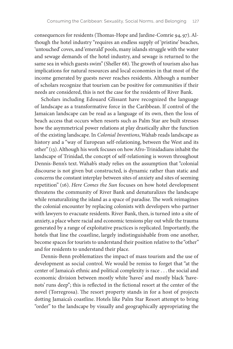consequences for residents (Thomas-Hope and Jardine-Comrie 94, 97). Although the hotel industry "requires an endless supply of 'pristine' beaches, 'untouched' coves, and 'emerald' pools, many islands struggle with the water and sewage demands of the hotel industry, and sewage is returned to the same sea in which guests swim" (Sheller 68). The growth of tourism also has implications for natural resources and local economies in that most of the income generated by guests never reaches residents. Although a number of scholars recognize that tourism can be positive for communities if their needs are considered, this is not the case for the residents of River Bank.

Scholars including Edouard Glissant have recognized the language of landscape as a transformative force in the Caribbean. If control of the Jamaican landscape can be read as a language of its own, then the loss of beach access that occurs when resorts such as Palm Star are built stresses how the asymmetrical power relations at play drastically alter the function of the existing landscape. In *Colonial Inventions*, Wahab reads landscape as history and a "way of European self-relationing, between the West and its other" (13). Although his work focuses on how Afro-Trinidadians inhabit the landscape of Trinidad, the concept of self-relationing is woven throughout Dennis-Benn's text. Wahab's study relies on the assumption that "colonial discourse is not given but constructed, is dynamic rather than static and concerns the constant interplay between sites of anxiety and sites of seeming repetition" (16). *Here Comes the Sun* focuses on how hotel development threatens the community of River Bank and denaturalizes the landscape while renaturalizing the island as a space of paradise. The work reimagines the colonial encounter by replacing colonists with developers who partner with lawyers to evacuate residents. River Bank, then, is turned into a site of anxiety, a place where racial and economic tensions play out while the trauma generated by a range of exploitative practices is replicated. Importantly, the hotels that line the coastline, largely indistinguishable from one another, become spaces for tourists to understand their position relative to the "other" and for residents to understand their place.

Dennis-Benn problematizes the impact of mass tourism and the use of development as social control. We would be remiss to forget that "at the center of Jamaica's ethnic and political complexity is race . . . the social and economic division between mostly white 'haves' and mostly black 'havenots' runs deep"; this is reflected in the fictional resort at the center of the novel (Torregrosa). The resort property stands in for a host of projects dotting Jamaica's coastline. Hotels like Palm Star Resort attempt to bring "order" to the landscape by visually and geographically appropriating the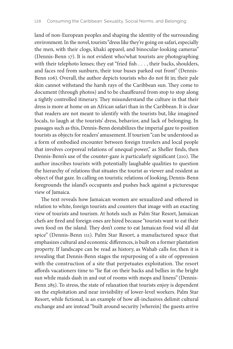land of non-European peoples and shaping the identity of the surrounding environment. In the novel, tourists "dress like they're going on safari, especially the men, with their clogs, khaki apparel, and binocular-looking cameras" (Dennis-Benn 17). It is not evident who/what tourists are photographing with their telephoto lenses; they eat "fried fish . . . , their backs, shoulders, and faces red from sunburn, their tour buses parked out front" (Dennis-Benn 106). Overall, the author depicts tourists who do not fit in; their pale skin cannot withstand the harsh rays of the Caribbean sun. They come to document (through photos) and to be chauffeured from stop to stop along a tightly controlled itinerary. They misunderstand the culture in that their dress is more at home on an African safari than in the Caribbean. It is clear that readers are not meant to identify with the tourists but, like imagined locals, to laugh at the tourists' dress, behavior, and lack of belonging. In passages such as this, Dennis-Benn destabilizes the imperial gaze to position tourists as objects for readers' amusement. If tourism "can be understood as a form of embodied encounter between foreign travelers and local people that involves corporeal relations of unequal power," as Sheller finds, then Dennis-Benn's use of the counter-gaze is particularly significant (210). The author inscribes tourists with potentially laughable qualities to question the hierarchy of relations that situates the tourist as viewer and resident as object of that gaze. In calling on touristic relations of looking, Dennis-Benn foregrounds the island's occupants and pushes back against a picturesque view of Jamaica.

The text reveals how Jamaican women are sexualized and othered in relation to white, foreign tourists and counters that image with an exacting view of tourists and tourism. At hotels such as Palm Star Resort, Jamaican chefs are fired and foreign ones are hired because "tourists want to eat their own food on the island. They don't come to eat Jamaican food wid all dat spice" (Dennis-Benn 111). Palm Star Resort, a manufactured space that emphasizes cultural and economic differences, is built on a former plantation property. If landscape can be read as history, as Wahab calls for, then it is revealing that Dennis-Benn stages the repurposing of a site of oppression with the construction of a site that perpetuates exploitation. The resort affords vacationers time to "lie flat on their backs and bellies in the bright sun while maids dash in and out of rooms with mops and linens" (Dennis-Benn 285). To stress, the state of relaxation that tourists enjoy is dependent on the exploitation and near invisibility of lower-level workers. Palm Star Resort, while fictional, is an example of how all-inclusives delimit cultural exchange and are instead "built around security [wherein] the guests arrive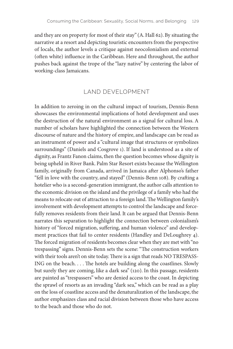and they are on property for most of their stay" (A. Hall 62). By situating the narrative at a resort and depicting touristic encounters from the perspective of locals, the author levels a critique against neocolonialism and external (often white) influence in the Caribbean. Here and throughout, the author pushes back against the trope of the "lazy native" by centering the labor of working-class Jamaicans.

#### LAND DEVELOPMENT

In addition to zeroing in on the cultural impact of tourism, Dennis-Benn showcases the environmental implications of hotel development and uses the destruction of the natural environment as a signal for cultural loss. A number of scholars have highlighted the connection between the Western discourse of nature and the history of empire, and landscape can be read as an instrument of power and a "cultural image that structures or symbolizes surroundings" (Daniels and Cosgrove 1). If land is understood as a site of dignity, as Frantz Fanon claims, then the question becomes whose dignity is being upheld in River Bank. Palm Star Resort exists because the Wellington family, originally from Canada, arrived in Jamaica after Alphonso's father "fell in love with the country, and stayed" (Dennis-Benn 108). By crafting a hotelier who is a second-generation immigrant, the author calls attention to the economic division on the island and the privilege of a family who had the means to relocate out of attraction to a foreign land. The Wellington family's involvement with development attempts to control the landscape and forcefully removes residents from their land. It can be argued that Dennis-Benn narrates this separation to highlight the connection between colonialism's history of "forced migration, suffering, and human violence" and development practices that fail to center residents (Handley and DeLoughrey 4). The forced migration of residents becomes clear when they are met with "no trespassing" signs. Dennis-Benn sets the scene: "The construction workers with their tools aren't on site today. There is a sign that reads NO TRESPASS-ING on the beach. . . . The hotels are building along the coastlines. Slowly but surely they are coming, like a dark sea" (120). In this passage, residents are painted as "trespassers" who are denied access to the coast. In depicting the sprawl of resorts as an invading "dark sea," which can be read as a play on the loss of coastline access and the denaturalization of the landscape, the author emphasizes class and racial division between those who have access to the beach and those who do not.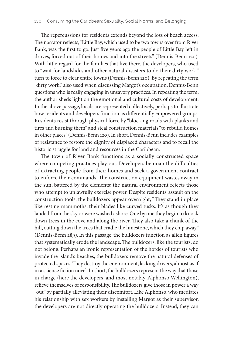The repercussions for residents extends beyond the loss of beach access. The narrator reflects, "Little Bay, which used to be two towns over from River Bank, was the first to go. Just five years ago the people of Little Bay left in droves, forced out of their homes and into the streets" (Dennis-Benn 120). With little regard for the families that live there, the developers, who used to "wait for landslides and other natural disasters to do their dirty work," turn to force to clear entire towns (Dennis-Benn 120). By repeating the term "dirty work," also used when discussing Margot's occupation, Dennis-Benn questions who is really engaging in unsavory practices. In repeating the term, the author sheds light on the emotional and cultural costs of development. In the above passage, locals are represented collectively, perhaps to illustrate how residents and developers function as differentially empowered groups. Residents resist through physical force by "blocking roads with planks and tires and burning them" and steal construction materials "to rebuild homes in other places" (Dennis-Benn 120). In short, Dennis-Benn includes examples of resistance to restore the dignity of displaced characters and to recall the historic struggle for land and resources in the Caribbean.

The town of River Bank functions as a socially constructed space where competing practices play out. Developers bemoan the difficulties of extracting people from their homes and seek a government contract to enforce their commands. The construction equipment wastes away in the sun, battered by the elements; the natural environment rejects those who attempt to unlawfully exercise power. Despite residents' assault on the construction tools, the bulldozers appear overnight; "They stand in place like resting mammoths, their blades like curved tusks. It's as though they landed from the sky or were washed ashore. One by one they begin to knock down trees in the cove and along the river. They also take a chunk of the hill, cutting down the trees that cradle the limestone, which they chip away" (Dennis-Benn 289). In this passage, the bulldozers function as alien figures that systematically erode the landscape. The bulldozers, like the tourists, do not belong. Perhaps an ironic representation of the hordes of tourists who invade the island's beaches, the bulldozers remove the natural defenses of protected spaces. They destroy the environment, lacking drivers, almost as if in a science fiction novel. In short, the bulldozers represent the way that those in charge (here the developers, and most notably, Alphonso Wellington), relieve themselves of responsibility. The bulldozers give those in power a way "out" by partially alleviating their discomfort. Like Alphonso, who mediates his relationship with sex workers by installing Margot as their supervisor, the developers are not directly operating the bulldozers. Instead, they can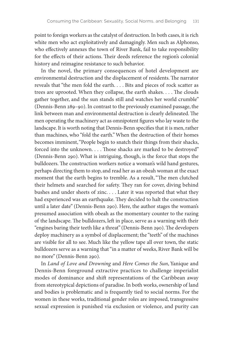point to foreign workers as the catalyst of destruction. In both cases, it is rich white men who act exploitatively and damagingly. Men such as Alphonso, who effectively annexes the town of River Bank, fail to take responsibility for the effects of their actions. Their deeds reference the region's colonial history and reimagine resistance to such behavior.

In the novel, the primary consequences of hotel development are environmental destruction and the displacement of residents. The narrator reveals that "the men fold the earth. . . . Bits and pieces of rock scatter as trees are uprooted. When they collapse, the earth shakes. . . . The clouds gather together, and the sun stands still and watches her world crumble" (Dennis-Benn 289–90). In contrast to the previously examined passage, the link between man and environmental destruction is clearly delineated. The men operating the machinery act as omnipotent figures who lay waste to the landscape. It is worth noting that Dennis-Benn specifies that it is men, rather than machines, who "fold the earth." When the destruction of their homes becomes imminent, "People begin to snatch their things from their shacks, forced into the unknown. . . . Those shacks are marked to be destroyed" (Dennis-Benn 290). What is intriguing, though, is the force that stops the bulldozers. The construction workers notice a woman's wild hand gestures, perhaps directing them to stop, and read her as an obeah woman at the exact moment that the earth begins to tremble. As a result, "The men clutched their helmets and searched for safety. They ran for cover, diving behind bushes and under sheets of zinc. . . . Later it was reported that what they had experienced was an earthquake. They decided to halt the construction until a later date" (Dennis-Benn 290). Here, the author stages the woman's presumed association with obeah as the momentary counter to the razing of the landscape. The bulldozers, left in place, serve as a warning with their "engines baring their teeth like a threat" (Dennis-Benn 290). The developers deploy machinery as a symbol of displacement; the "teeth" of the machines are visible for all to see. Much like the yellow tape all over town, the static bulldozers serve as a warning that "in a matter of weeks, River Bank will be no more" (Dennis-Benn 290).

In *Land of Love and Drowning* and *Here Comes the Sun*, Yanique and Dennis-Benn foreground extractive practices to challenge imperialist modes of dominance and shift representations of the Caribbean away from stereotypical depictions of paradise. In both works, ownership of land and bodies is problematic and is frequently tied to social norms. For the women in these works, traditional gender roles are imposed, transgressive sexual expression is punished via exclusion or violence, and purity can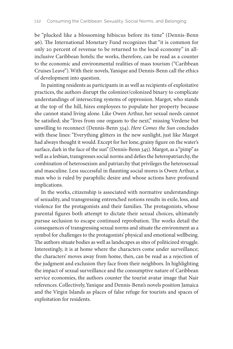be "plucked like a blossoming hibiscus before its time" (Dennis-Benn 96). The International Monetary Fund recognizes that "it is common for only 20 percent of revenue to be returned to the local economy" in allinclusive Caribbean hotels; the works, therefore, can be read as a counter to the economic and environmental realities of mass tourism ("Caribbean Cruises Leave"). With their novels, Yanique and Dennis-Benn call the ethics of development into question.

In painting residents as participants in as well as recipients of exploitative practices, the authors disrupt the colonizer/colonized binary to complicate understandings of intersecting systems of oppression. Margot, who stands at the top of the hill, hires employees to populate her property because she cannot stand living alone. Like Owen Arthur, her sexual needs cannot be satisfied; she "lives from one orgasm to the next," missing Verdene but unwilling to reconnect (Dennis-Benn 334). *Here Comes the Sun* concludes with these lines: "Everything glitters in the new sunlight, just like Margot had always thought it would. Except for her lone, grainy figure on the water's surface, dark in the face of the sun" (Dennis-Benn 345). Margot, as a "pimp" as well as a lesbian, transgresses social norms and defies the heteropatriarchy, the combination of heterosexism and patriarchy that privileges the heterosexual and masculine. Less successful in flaunting social mores is Owen Arthur, a man who is ruled by paraphilic desire and whose actions have profound implications.

In the works, citizenship is associated with normative understandings of sexuality, and transgressing entrenched notions results in exile, loss, and violence for the protagonists and their families. The protagonists, whose parental figures both attempt to dictate their sexual choices, ultimately pursue seclusion to escape continued reprobation. The works detail the consequences of transgressing sexual norms and situate the environment as a symbol for challenges to the protagonists' physical and emotional wellbeing. The authors situate bodies as well as landscapes as sites of politicized struggle. Interestingly, it is at home where the characters come under surveillance; the characters' moves away from home, then, can be read as a rejection of the judgment and exclusion they face from their neighbors. In highlighting the impact of sexual surveillance and the consumptive nature of Caribbean service economies, the authors counter the tourist avatar image that Nair references. Collectively, Yanique and Dennis-Benn's novels position Jamaica and the Virgin Islands as places of false refuge for tourists and spaces of exploitation for residents.